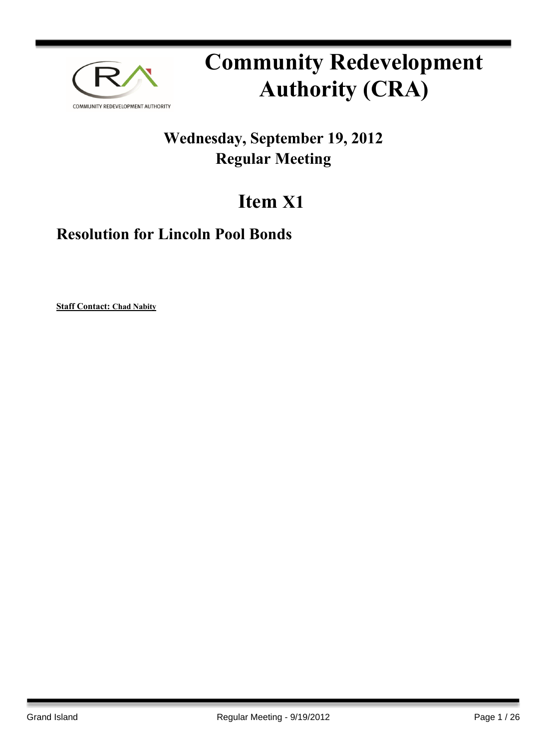

# **Community Redevelopment Authority (CRA)**

# **Wednesday, September 19, 2012 Regular Meeting**

# **Item X1**

# **Resolution for Lincoln Pool Bonds**

**Staff Contact: Chad Nabity**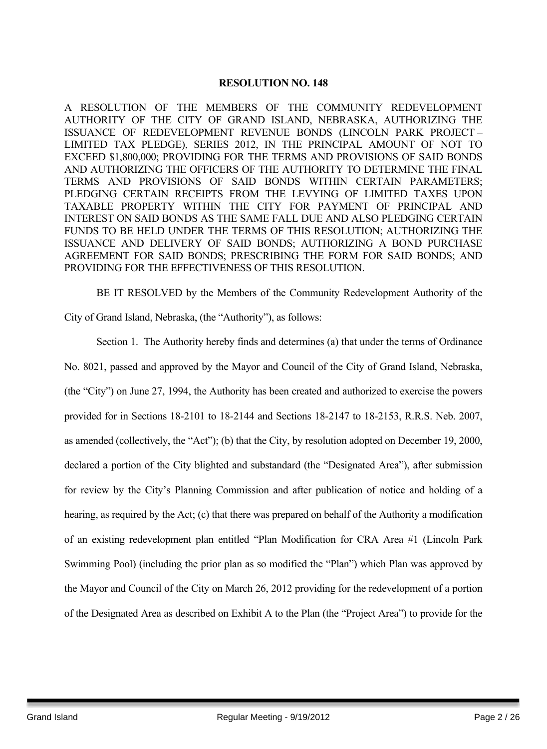### **RESOLUTION NO. 148**

A RESOLUTION OF THE MEMBERS OF THE COMMUNITY REDEVELOPMENT AUTHORITY OF THE CITY OF GRAND ISLAND, NEBRASKA, AUTHORIZING THE ISSUANCE OF REDEVELOPMENT REVENUE BONDS (LINCOLN PARK PROJECT – LIMITED TAX PLEDGE), SERIES 2012, IN THE PRINCIPAL AMOUNT OF NOT TO EXCEED \$1,800,000; PROVIDING FOR THE TERMS AND PROVISIONS OF SAID BONDS AND AUTHORIZING THE OFFICERS OF THE AUTHORITY TO DETERMINE THE FINAL TERMS AND PROVISIONS OF SAID BONDS WITHIN CERTAIN PARAMETERS; PLEDGING CERTAIN RECEIPTS FROM THE LEVYING OF LIMITED TAXES UPON TAXABLE PROPERTY WITHIN THE CITY FOR PAYMENT OF PRINCIPAL AND INTEREST ON SAID BONDS AS THE SAME FALL DUE AND ALSO PLEDGING CERTAIN FUNDS TO BE HELD UNDER THE TERMS OF THIS RESOLUTION; AUTHORIZING THE ISSUANCE AND DELIVERY OF SAID BONDS; AUTHORIZING A BOND PURCHASE AGREEMENT FOR SAID BONDS; PRESCRIBING THE FORM FOR SAID BONDS; AND PROVIDING FOR THE EFFECTIVENESS OF THIS RESOLUTION.

BE IT RESOLVED by the Members of the Community Redevelopment Authority of the City of Grand Island, Nebraska, (the "Authority"), as follows:

Section 1. The Authority hereby finds and determines (a) that under the terms of Ordinance No. 8021, passed and approved by the Mayor and Council of the City of Grand Island, Nebraska, (the "City") on June 27, 1994, the Authority has been created and authorized to exercise the powers provided for in Sections 18-2101 to 18-2144 and Sections 18-2147 to 18-2153, R.R.S. Neb. 2007, as amended (collectively, the "Act"); (b) that the City, by resolution adopted on December 19, 2000, declared a portion of the City blighted and substandard (the "Designated Area"), after submission for review by the City's Planning Commission and after publication of notice and holding of a hearing, as required by the Act; (c) that there was prepared on behalf of the Authority a modification of an existing redevelopment plan entitled "Plan Modification for CRA Area #1 (Lincoln Park Swimming Pool) (including the prior plan as so modified the "Plan") which Plan was approved by the Mayor and Council of the City on March 26, 2012 providing for the redevelopment of a portion of the Designated Area as described on Exhibit A to the Plan (the "Project Area") to provide for the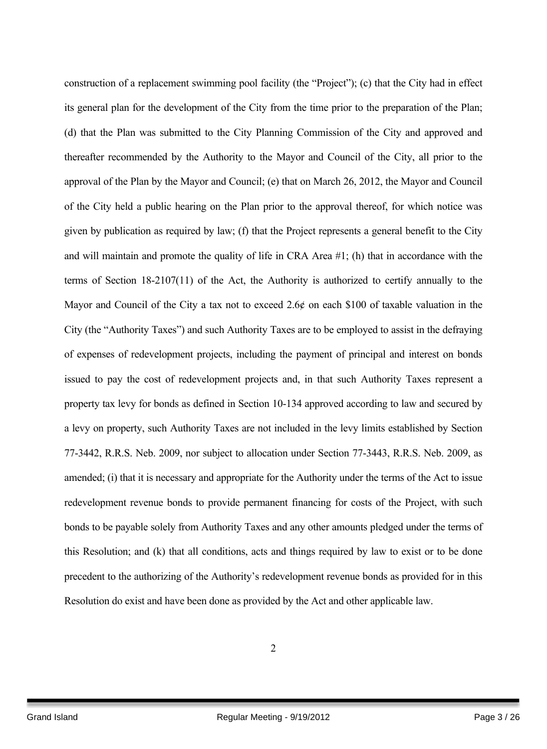construction of a replacement swimming pool facility (the "Project"); (c) that the City had in effect its general plan for the development of the City from the time prior to the preparation of the Plan; (d) that the Plan was submitted to the City Planning Commission of the City and approved and thereafter recommended by the Authority to the Mayor and Council of the City, all prior to the approval of the Plan by the Mayor and Council; (e) that on March 26, 2012, the Mayor and Council of the City held a public hearing on the Plan prior to the approval thereof, for which notice was given by publication as required by law; (f) that the Project represents a general benefit to the City and will maintain and promote the quality of life in CRA Area #1; (h) that in accordance with the terms of Section 18-2107(11) of the Act, the Authority is authorized to certify annually to the Mayor and Council of the City a tax not to exceed 2.6¢ on each \$100 of taxable valuation in the City (the "Authority Taxes") and such Authority Taxes are to be employed to assist in the defraying of expenses of redevelopment projects, including the payment of principal and interest on bonds issued to pay the cost of redevelopment projects and, in that such Authority Taxes represent a property tax levy for bonds as defined in Section 10-134 approved according to law and secured by a levy on property, such Authority Taxes are not included in the levy limits established by Section 77-3442, R.R.S. Neb. 2009, nor subject to allocation under Section 77-3443, R.R.S. Neb. 2009, as amended; (i) that it is necessary and appropriate for the Authority under the terms of the Act to issue redevelopment revenue bonds to provide permanent financing for costs of the Project, with such bonds to be payable solely from Authority Taxes and any other amounts pledged under the terms of this Resolution; and (k) that all conditions, acts and things required by law to exist or to be done precedent to the authorizing of the Authority's redevelopment revenue bonds as provided for in this Resolution do exist and have been done as provided by the Act and other applicable law.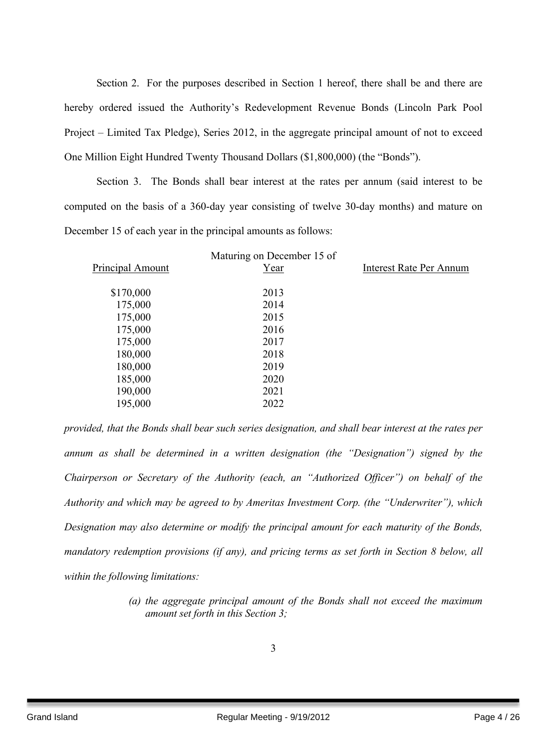Section 2. For the purposes described in Section 1 hereof, there shall be and there are hereby ordered issued the Authority's Redevelopment Revenue Bonds (Lincoln Park Pool Project – Limited Tax Pledge), Series 2012, in the aggregate principal amount of not to exceed One Million Eight Hundred Twenty Thousand Dollars (\$1,800,000) (the "Bonds").

Section 3. The Bonds shall bear interest at the rates per annum (said interest to be computed on the basis of a 360-day year consisting of twelve 30-day months) and mature on December 15 of each year in the principal amounts as follows:

| Principal Amount | Maturing on December 15 of<br>Year | <b>Interest Rate Per Annum</b> |
|------------------|------------------------------------|--------------------------------|
|                  | 2013                               |                                |
| \$170,000        |                                    |                                |
| 175,000          | 2014                               |                                |
| 175,000          | 2015                               |                                |
| 175,000          | 2016                               |                                |
| 175,000          | 2017                               |                                |
| 180,000          | 2018                               |                                |
| 180,000          | 2019                               |                                |
| 185,000          | 2020                               |                                |
| 190,000          | 2021                               |                                |
| 195,000          | 2022                               |                                |
|                  |                                    |                                |

*provided, that the Bonds shall bear such series designation, and shall bear interest at the rates per annum as shall be determined in a written designation (the "Designation") signed by the Chairperson or Secretary of the Authority (each, an "Authorized Officer") on behalf of the Authority and which may be agreed to by Ameritas Investment Corp. (the "Underwriter"), which Designation may also determine or modify the principal amount for each maturity of the Bonds, mandatory redemption provisions (if any), and pricing terms as set forth in Section 8 below, all within the following limitations:*

> *(a) the aggregate principal amount of the Bonds shall not exceed the maximum amount set forth in this Section 3;*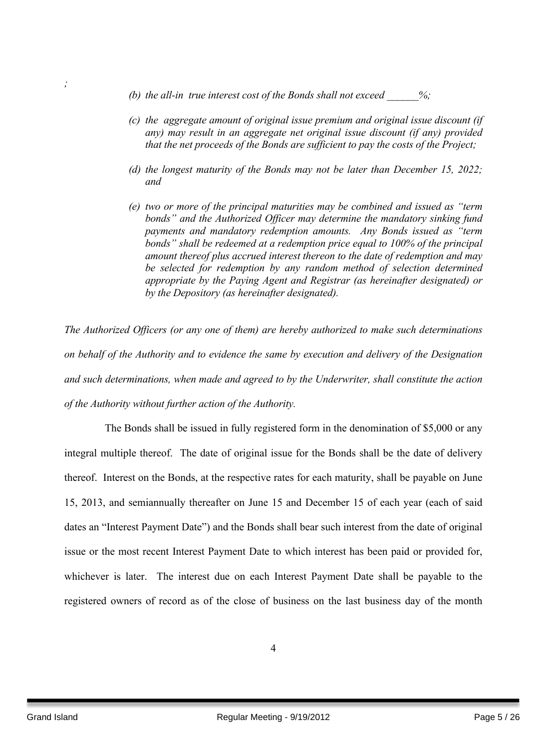- *(b) the all-in true interest cost of the Bonds shall not exceed \_\_\_\_\_\_%;*
- *(c) the aggregate amount of original issue premium and original issue discount (if any) may result in an aggregate net original issue discount (if any) provided that the net proceeds of the Bonds are sufficient to pay the costs of the Project;*
- *(d) the longest maturity of the Bonds may not be later than December 15, 2022; and*
- *(e) two or more of the principal maturities may be combined and issued as "term bonds" and the Authorized Officer may determine the mandatory sinking fund payments and mandatory redemption amounts. Any Bonds issued as "term bonds" shall be redeemed at a redemption price equal to 100% of the principal amount thereof plus accrued interest thereon to the date of redemption and may be selected for redemption by any random method of selection determined appropriate by the Paying Agent and Registrar (as hereinafter designated) or by the Depository (as hereinafter designated).*

*The Authorized Officers (or any one of them) are hereby authorized to make such determinations on behalf of the Authority and to evidence the same by execution and delivery of the Designation and such determinations, when made and agreed to by the Underwriter, shall constitute the action of the Authority without further action of the Authority.*

The Bonds shall be issued in fully registered form in the denomination of \$5,000 or any integral multiple thereof. The date of original issue for the Bonds shall be the date of delivery thereof. Interest on the Bonds, at the respective rates for each maturity, shall be payable on June 15, 2013, and semiannually thereafter on June 15 and December 15 of each year (each of said dates an "Interest Payment Date") and the Bonds shall bear such interest from the date of original issue or the most recent Interest Payment Date to which interest has been paid or provided for, whichever is later. The interest due on each Interest Payment Date shall be payable to the registered owners of record as of the close of business on the last business day of the month

*;*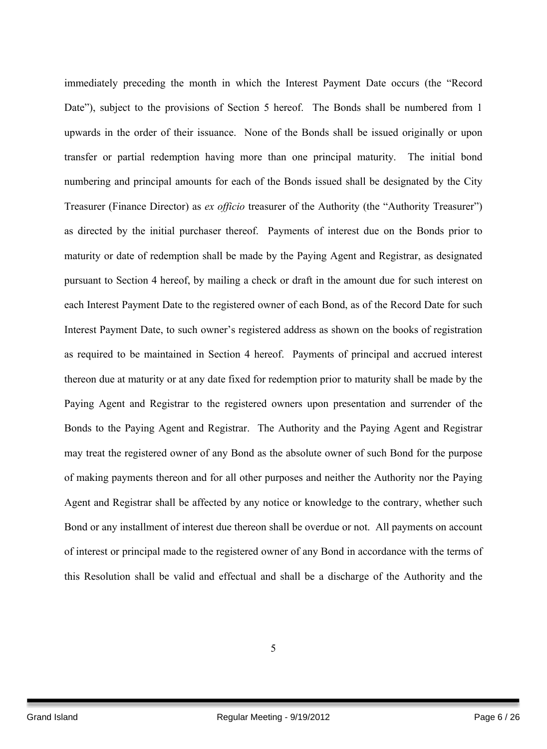immediately preceding the month in which the Interest Payment Date occurs (the "Record Date"), subject to the provisions of Section 5 hereof. The Bonds shall be numbered from 1 upwards in the order of their issuance. None of the Bonds shall be issued originally or upon transfer or partial redemption having more than one principal maturity. The initial bond numbering and principal amounts for each of the Bonds issued shall be designated by the City Treasurer (Finance Director) as *ex officio* treasurer of the Authority (the "Authority Treasurer") as directed by the initial purchaser thereof. Payments of interest due on the Bonds prior to maturity or date of redemption shall be made by the Paying Agent and Registrar, as designated pursuant to Section 4 hereof, by mailing a check or draft in the amount due for such interest on each Interest Payment Date to the registered owner of each Bond, as of the Record Date for such Interest Payment Date, to such owner's registered address as shown on the books of registration as required to be maintained in Section 4 hereof. Payments of principal and accrued interest thereon due at maturity or at any date fixed for redemption prior to maturity shall be made by the Paying Agent and Registrar to the registered owners upon presentation and surrender of the Bonds to the Paying Agent and Registrar. The Authority and the Paying Agent and Registrar may treat the registered owner of any Bond as the absolute owner of such Bond for the purpose of making payments thereon and for all other purposes and neither the Authority nor the Paying Agent and Registrar shall be affected by any notice or knowledge to the contrary, whether such Bond or any installment of interest due thereon shall be overdue or not. All payments on account of interest or principal made to the registered owner of any Bond in accordance with the terms of this Resolution shall be valid and effectual and shall be a discharge of the Authority and the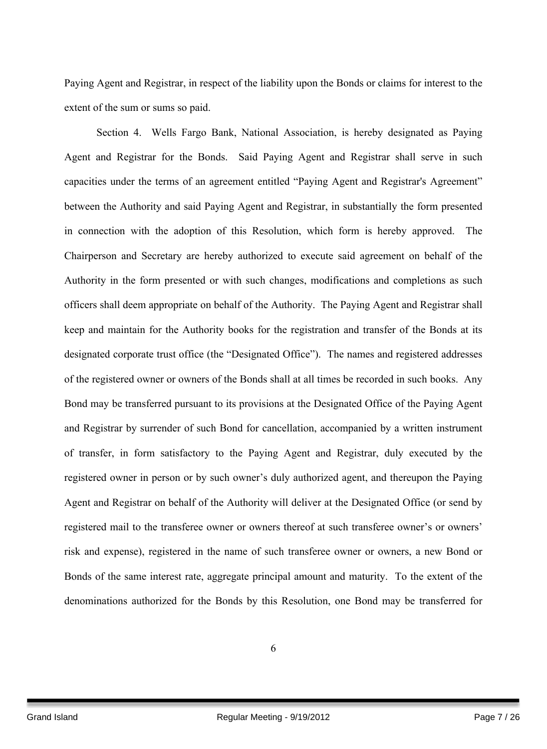Paying Agent and Registrar, in respect of the liability upon the Bonds or claims for interest to the extent of the sum or sums so paid.

Section 4. Wells Fargo Bank, National Association, is hereby designated as Paying Agent and Registrar for the Bonds. Said Paying Agent and Registrar shall serve in such capacities under the terms of an agreement entitled "Paying Agent and Registrar's Agreement" between the Authority and said Paying Agent and Registrar, in substantially the form presented in connection with the adoption of this Resolution, which form is hereby approved. The Chairperson and Secretary are hereby authorized to execute said agreement on behalf of the Authority in the form presented or with such changes, modifications and completions as such officers shall deem appropriate on behalf of the Authority. The Paying Agent and Registrar shall keep and maintain for the Authority books for the registration and transfer of the Bonds at its designated corporate trust office (the "Designated Office"). The names and registered addresses of the registered owner or owners of the Bonds shall at all times be recorded in such books. Any Bond may be transferred pursuant to its provisions at the Designated Office of the Paying Agent and Registrar by surrender of such Bond for cancellation, accompanied by a written instrument of transfer, in form satisfactory to the Paying Agent and Registrar, duly executed by the registered owner in person or by such owner's duly authorized agent, and thereupon the Paying Agent and Registrar on behalf of the Authority will deliver at the Designated Office (or send by registered mail to the transferee owner or owners thereof at such transferee owner's or owners' risk and expense), registered in the name of such transferee owner or owners, a new Bond or Bonds of the same interest rate, aggregate principal amount and maturity. To the extent of the denominations authorized for the Bonds by this Resolution, one Bond may be transferred for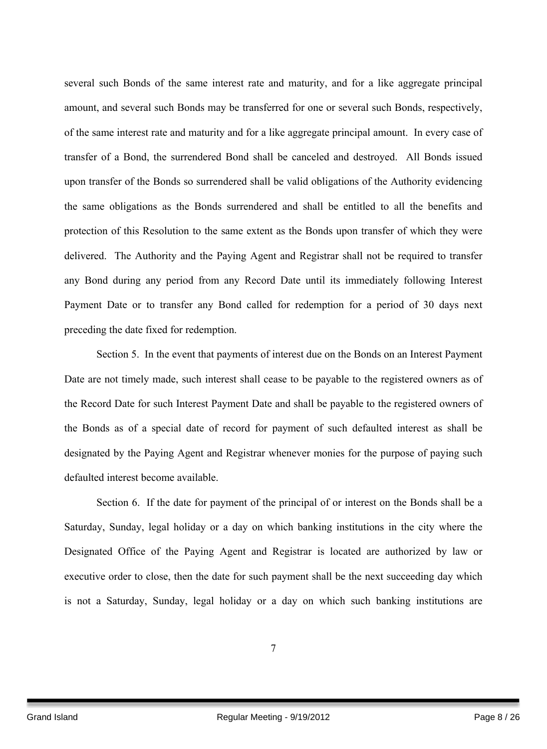several such Bonds of the same interest rate and maturity, and for a like aggregate principal amount, and several such Bonds may be transferred for one or several such Bonds, respectively, of the same interest rate and maturity and for a like aggregate principal amount. In every case of transfer of a Bond, the surrendered Bond shall be canceled and destroyed. All Bonds issued upon transfer of the Bonds so surrendered shall be valid obligations of the Authority evidencing the same obligations as the Bonds surrendered and shall be entitled to all the benefits and protection of this Resolution to the same extent as the Bonds upon transfer of which they were delivered. The Authority and the Paying Agent and Registrar shall not be required to transfer any Bond during any period from any Record Date until its immediately following Interest Payment Date or to transfer any Bond called for redemption for a period of 30 days next preceding the date fixed for redemption.

Section 5. In the event that payments of interest due on the Bonds on an Interest Payment Date are not timely made, such interest shall cease to be payable to the registered owners as of the Record Date for such Interest Payment Date and shall be payable to the registered owners of the Bonds as of a special date of record for payment of such defaulted interest as shall be designated by the Paying Agent and Registrar whenever monies for the purpose of paying such defaulted interest become available.

Section 6. If the date for payment of the principal of or interest on the Bonds shall be a Saturday, Sunday, legal holiday or a day on which banking institutions in the city where the Designated Office of the Paying Agent and Registrar is located are authorized by law or executive order to close, then the date for such payment shall be the next succeeding day which is not a Saturday, Sunday, legal holiday or a day on which such banking institutions are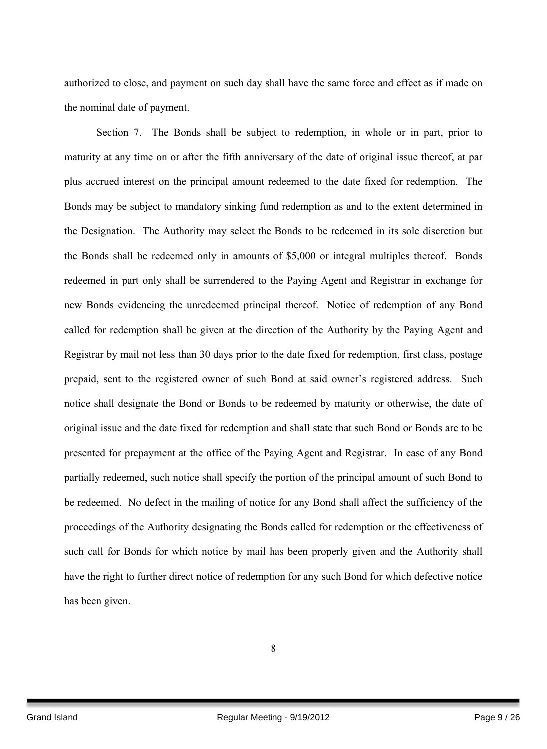authorized to close, and payment on such day shall have the same force and effect as if made on the nominal date of payment.

Section 7. The Bonds shall be subject to redemption, in whole or in part, prior to maturity at any time on or after the fifth anniversary of the date of original issue thereof, at par plus accrued interest on the principal amount redeemed to the date fixed for redemption. The Bonds may be subject to mandatory sinking fund redemption as and to the extent determined in the Designation. The Authority may select the Bonds to be redeemed in its sole discretion but the Bonds shall be redeemed only in amounts of \$5,000 or integral multiples thereof. Bonds redeemed in part only shall be surrendered to the Paying Agent and Registrar in exchange for new Bonds evidencing the unredeemed principal thereof. Notice of redemption of any Bond called for redemption shall be given at the direction of the Authority by the Paying Agent and Registrar by mail not less than 30 days prior to the date fixed for redemption, first class, postage prepaid, sent to the registered owner of such Bond at said owner's registered address. Such notice shall designate the Bond or Bonds to be redeemed by maturity or otherwise, the date of original issue and the date fixed for redemption and shall state that such Bond or Bonds are to be presented for prepayment at the office of the Paying Agent and Registrar. In case of any Bond partially redeemed, such notice shall specify the portion of the principal amount of such Bond to be redeemed. No defect in the mailing of notice for any Bond shall affect the sufficiency of the proceedings of the Authority designating the Bonds called for redemption or the effectiveness of such call for Bonds for which notice by mail has been properly given and the Authority shall have the right to further direct notice of redemption for any such Bond for which defective notice has been given.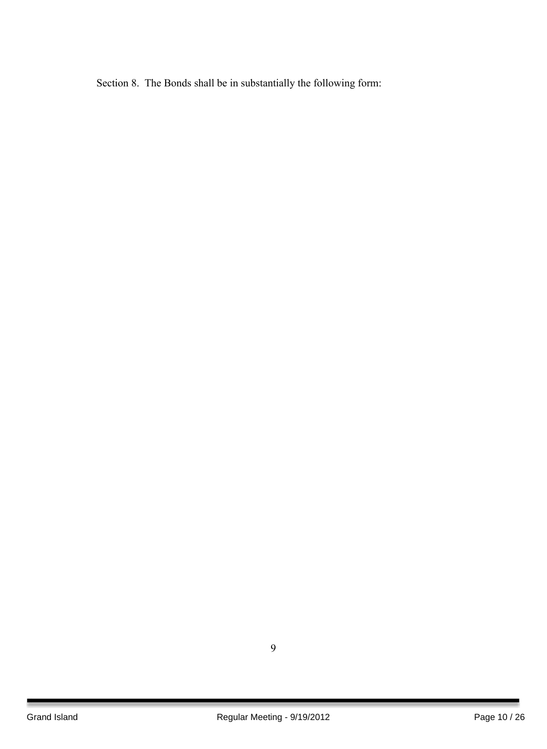Section 8. The Bonds shall be in substantially the following form: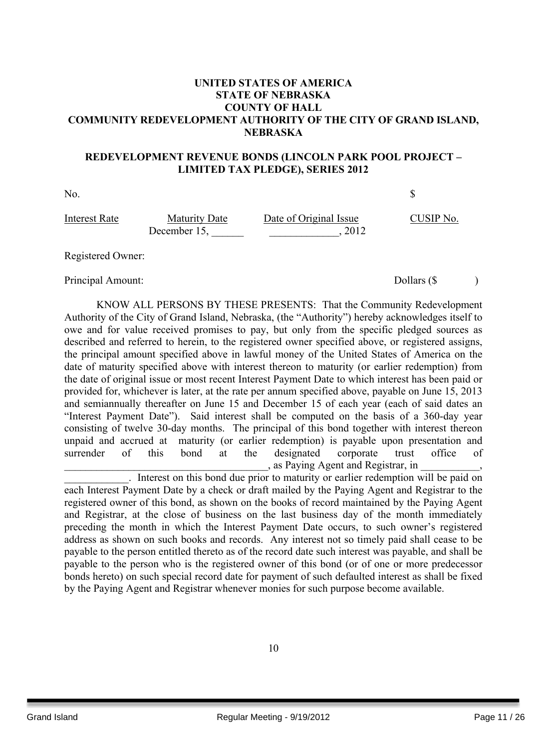## **UNITED STATES OF AMERICA STATE OF NEBRASKA COUNTY OF HALL COMMUNITY REDEVELOPMENT AUTHORITY OF THE CITY OF GRAND ISLAND, NEBRASKA**

### **REDEVELOPMENT REVENUE BONDS (LINCOLN PARK POOL PROJECT – LIMITED TAX PLEDGE), SERIES 2012**

No.  $\sim$ Interest Rate Maturity Date Date of Original Issue CUSIP No. December 15, \_\_\_\_\_\_ \_\_\_\_\_\_\_\_\_\_\_\_\_, 2012

Registered Owner:

Principal Amount: Dollars (\$ )

KNOW ALL PERSONS BY THESE PRESENTS: That the Community Redevelopment Authority of the City of Grand Island, Nebraska, (the "Authority") hereby acknowledges itself to owe and for value received promises to pay, but only from the specific pledged sources as described and referred to herein, to the registered owner specified above, or registered assigns, the principal amount specified above in lawful money of the United States of America on the date of maturity specified above with interest thereon to maturity (or earlier redemption) from the date of original issue or most recent Interest Payment Date to which interest has been paid or provided for, whichever is later, at the rate per annum specified above, payable on June 15, 2013 and semiannually thereafter on June 15 and December 15 of each year (each of said dates an "Interest Payment Date"). Said interest shall be computed on the basis of a 360-day year consisting of twelve 30-day months. The principal of this bond together with interest thereon unpaid and accrued at maturity (or earlier redemption) is payable upon presentation and surrender of this bond at the designated corporate trust office of \_\_\_\_\_\_\_\_\_\_\_\_\_\_\_\_\_\_\_\_\_\_\_\_\_\_\_\_\_\_\_\_\_\_\_\_\_\_, as Paying Agent and Registrar, in \_\_\_\_\_\_\_\_\_\_\_,

\_\_\_\_\_\_\_\_\_\_\_\_. Interest on this bond due prior to maturity or earlier redemption will be paid on each Interest Payment Date by a check or draft mailed by the Paying Agent and Registrar to the registered owner of this bond, as shown on the books of record maintained by the Paying Agent and Registrar, at the close of business on the last business day of the month immediately preceding the month in which the Interest Payment Date occurs, to such owner's registered address as shown on such books and records. Any interest not so timely paid shall cease to be payable to the person entitled thereto as of the record date such interest was payable, and shall be payable to the person who is the registered owner of this bond (or of one or more predecessor bonds hereto) on such special record date for payment of such defaulted interest as shall be fixed by the Paying Agent and Registrar whenever monies for such purpose become available.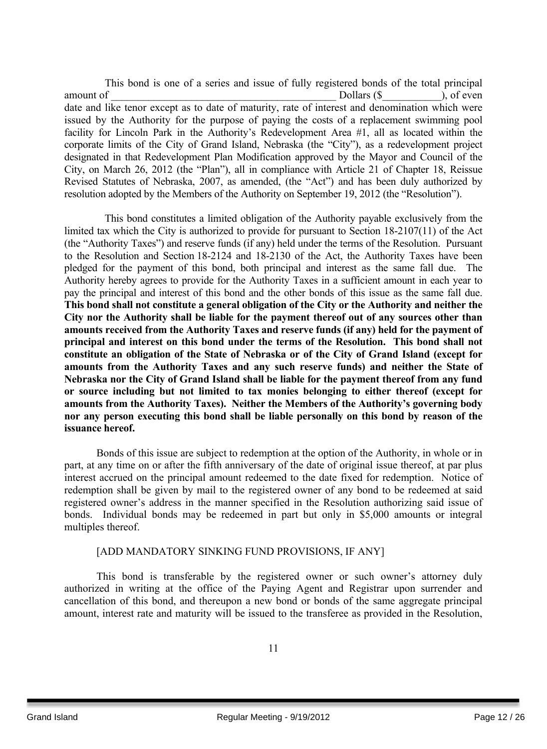This bond is one of a series and issue of fully registered bonds of the total principal amount of Theorem 2012 is the Dollars (\$  $\qquad \qquad$  ), of even date and like tenor except as to date of maturity, rate of interest and denomination which were issued by the Authority for the purpose of paying the costs of a replacement swimming pool facility for Lincoln Park in the Authority's Redevelopment Area #1, all as located within the corporate limits of the City of Grand Island, Nebraska (the "City"), as a redevelopment project designated in that Redevelopment Plan Modification approved by the Mayor and Council of the City, on March 26, 2012 (the "Plan"), all in compliance with Article 21 of Chapter 18, Reissue Revised Statutes of Nebraska, 2007, as amended, (the "Act") and has been duly authorized by resolution adopted by the Members of the Authority on September 19, 2012 (the "Resolution").

This bond constitutes a limited obligation of the Authority payable exclusively from the limited tax which the City is authorized to provide for pursuant to Section 18-2107(11) of the Act (the "Authority Taxes") and reserve funds (if any) held under the terms of the Resolution. Pursuant to the Resolution and Section 18-2124 and 18-2130 of the Act, the Authority Taxes have been pledged for the payment of this bond, both principal and interest as the same fall due. The Authority hereby agrees to provide for the Authority Taxes in a sufficient amount in each year to pay the principal and interest of this bond and the other bonds of this issue as the same fall due. **This bond shall not constitute a general obligation of the City or the Authority and neither the City nor the Authority shall be liable for the payment thereof out of any sources other than amounts received from the Authority Taxes and reserve funds (if any) held for the payment of principal and interest on this bond under the terms of the Resolution. This bond shall not constitute an obligation of the State of Nebraska or of the City of Grand Island (except for amounts from the Authority Taxes and any such reserve funds) and neither the State of Nebraska nor the City of Grand Island shall be liable for the payment thereof from any fund or source including but not limited to tax monies belonging to either thereof (except for amounts from the Authority Taxes). Neither the Members of the Authority's governing body nor any person executing this bond shall be liable personally on this bond by reason of the issuance hereof.**

Bonds of this issue are subject to redemption at the option of the Authority, in whole or in part, at any time on or after the fifth anniversary of the date of original issue thereof, at par plus interest accrued on the principal amount redeemed to the date fixed for redemption. Notice of redemption shall be given by mail to the registered owner of any bond to be redeemed at said registered owner's address in the manner specified in the Resolution authorizing said issue of bonds. Individual bonds may be redeemed in part but only in \$5,000 amounts or integral multiples thereof.

# [ADD MANDATORY SINKING FUND PROVISIONS, IF ANY]

This bond is transferable by the registered owner or such owner's attorney duly authorized in writing at the office of the Paying Agent and Registrar upon surrender and cancellation of this bond, and thereupon a new bond or bonds of the same aggregate principal amount, interest rate and maturity will be issued to the transferee as provided in the Resolution,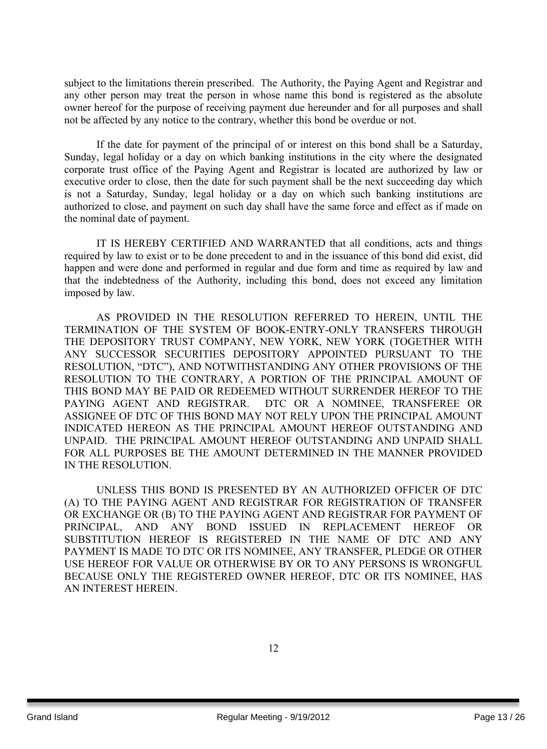subject to the limitations therein prescribed. The Authority, the Paying Agent and Registrar and any other person may treat the person in whose name this bond is registered as the absolute owner hereof for the purpose of receiving payment due hereunder and for all purposes and shall not be affected by any notice to the contrary, whether this bond be overdue or not.

If the date for payment of the principal of or interest on this bond shall be a Saturday, Sunday, legal holiday or a day on which banking institutions in the city where the designated corporate trust office of the Paying Agent and Registrar is located are authorized by law or executive order to close, then the date for such payment shall be the next succeeding day which is not a Saturday, Sunday, legal holiday or a day on which such banking institutions are authorized to close, and payment on such day shall have the same force and effect as if made on the nominal date of payment.

IT IS HEREBY CERTIFIED AND WARRANTED that all conditions, acts and things required by law to exist or to be done precedent to and in the issuance of this bond did exist, did happen and were done and performed in regular and due form and time as required by law and that the indebtedness of the Authority, including this bond, does not exceed any limitation imposed by law.

AS PROVIDED IN THE RESOLUTION REFERRED TO HEREIN, UNTIL THE TERMINATION OF THE SYSTEM OF BOOK-ENTRY-ONLY TRANSFERS THROUGH THE DEPOSITORY TRUST COMPANY, NEW YORK, NEW YORK (TOGETHER WITH ANY SUCCESSOR SECURITIES DEPOSITORY APPOINTED PURSUANT TO THE RESOLUTION, "DTC"), AND NOTWITHSTANDING ANY OTHER PROVISIONS OF THE RESOLUTION TO THE CONTRARY, A PORTION OF THE PRINCIPAL AMOUNT OF THIS BOND MAY BE PAID OR REDEEMED WITHOUT SURRENDER HEREOF TO THE PAYING AGENT AND REGISTRAR. DTC OR A NOMINEE, TRANSFEREE OR ASSIGNEE OF DTC OF THIS BOND MAY NOT RELY UPON THE PRINCIPAL AMOUNT INDICATED HEREON AS THE PRINCIPAL AMOUNT HEREOF OUTSTANDING AND UNPAID. THE PRINCIPAL AMOUNT HEREOF OUTSTANDING AND UNPAID SHALL FOR ALL PURPOSES BE THE AMOUNT DETERMINED IN THE MANNER PROVIDED IN THE RESOLUTION.

UNLESS THIS BOND IS PRESENTED BY AN AUTHORIZED OFFICER OF DTC (A) TO THE PAYING AGENT AND REGISTRAR FOR REGISTRATION OF TRANSFER OR EXCHANGE OR (B) TO THE PAYING AGENT AND REGISTRAR FOR PAYMENT OF PRINCIPAL, AND ANY BOND ISSUED IN REPLACEMENT HEREOF OR SUBSTITUTION HEREOF IS REGISTERED IN THE NAME OF DTC AND ANY PAYMENT IS MADE TO DTC OR ITS NOMINEE, ANY TRANSFER, PLEDGE OR OTHER USE HEREOF FOR VALUE OR OTHERWISE BY OR TO ANY PERSONS IS WRONGFUL BECAUSE ONLY THE REGISTERED OWNER HEREOF, DTC OR ITS NOMINEE, HAS AN INTEREST HEREIN.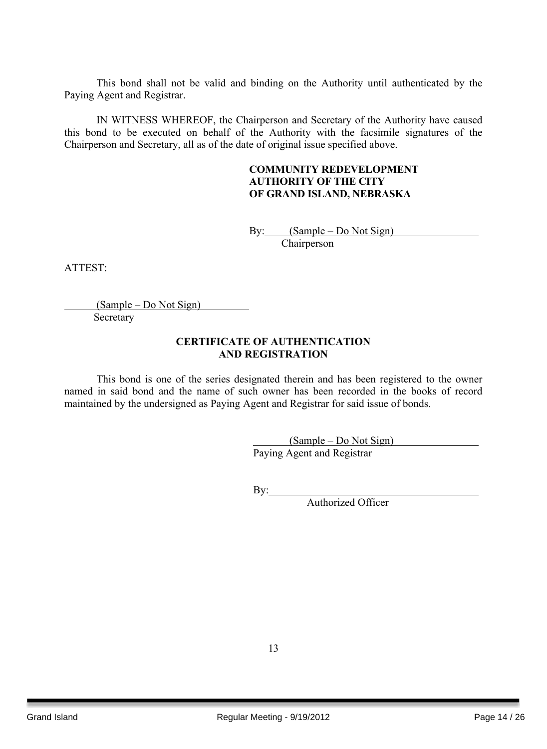This bond shall not be valid and binding on the Authority until authenticated by the Paying Agent and Registrar.

IN WITNESS WHEREOF, the Chairperson and Secretary of the Authority have caused this bond to be executed on behalf of the Authority with the facsimile signatures of the Chairperson and Secretary, all as of the date of original issue specified above.

## **COMMUNITY REDEVELOPMENT AUTHORITY OF THE CITY OF GRAND ISLAND, NEBRASKA**

By: (Sample – Do Not Sign) **Chairperson** 

ATTEST:

(Sample – Do Not Sign) Secretary

### **CERTIFICATE OF AUTHENTICATION AND REGISTRATION**

This bond is one of the series designated therein and has been registered to the owner named in said bond and the name of such owner has been recorded in the books of record maintained by the undersigned as Paying Agent and Registrar for said issue of bonds.

> (Sample – Do Not Sign) Paying Agent and Registrar

By:

Authorized Officer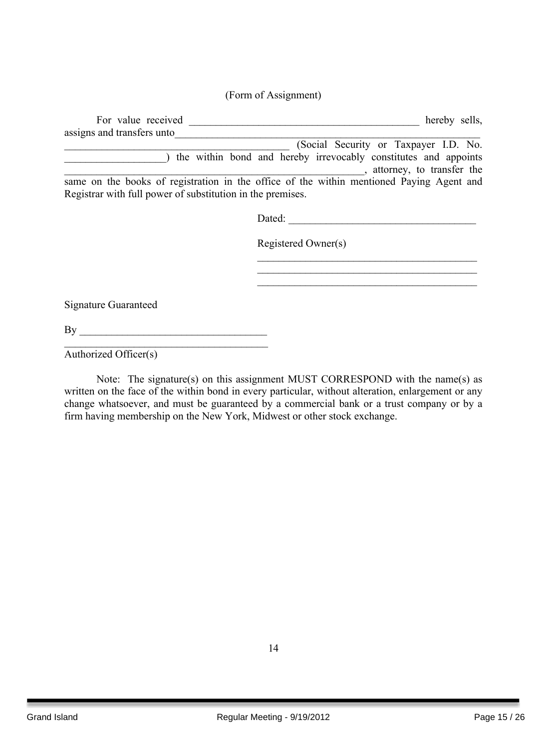# (Form of Assignment)

|                                                            | hereby sells,                                                                                |
|------------------------------------------------------------|----------------------------------------------------------------------------------------------|
| assigns and transfers unto                                 |                                                                                              |
|                                                            | (Social Security or Taxpayer I.D. No.                                                        |
|                                                            | the within bond and hereby irrevocably constitutes and appoints<br>attorney, to transfer the |
| Registrar with full power of substitution in the premises. | same on the books of registration in the office of the within mentioned Paying Agent and     |
|                                                            | Dated:                                                                                       |
|                                                            | Registered Owner(s)                                                                          |
|                                                            |                                                                                              |
|                                                            |                                                                                              |
| Signature Guaranteed                                       |                                                                                              |
| $\mathbf{B}$ y                                             |                                                                                              |
| Authorized Officer(s)                                      |                                                                                              |

Note: The signature(s) on this assignment MUST CORRESPOND with the name(s) as written on the face of the within bond in every particular, without alteration, enlargement or any change whatsoever, and must be guaranteed by a commercial bank or a trust company or by a firm having membership on the New York, Midwest or other stock exchange.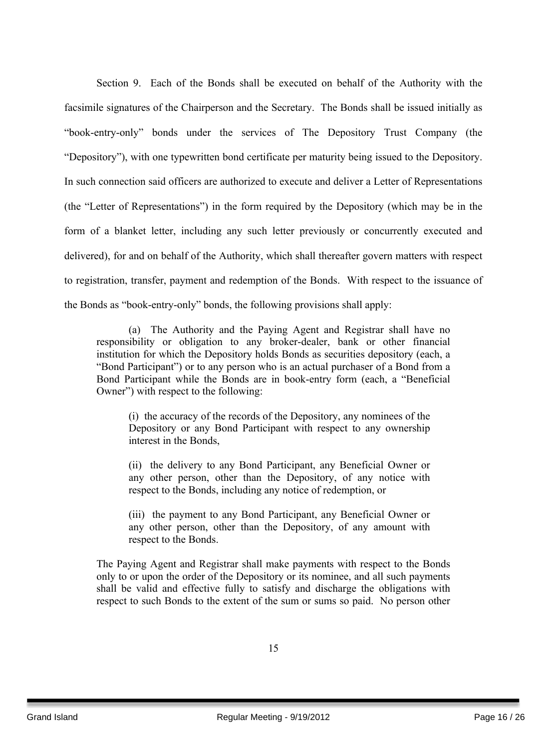Section 9. Each of the Bonds shall be executed on behalf of the Authority with the facsimile signatures of the Chairperson and the Secretary. The Bonds shall be issued initially as "book-entry-only" bonds under the services of The Depository Trust Company (the "Depository"), with one typewritten bond certificate per maturity being issued to the Depository. In such connection said officers are authorized to execute and deliver a Letter of Representations (the "Letter of Representations") in the form required by the Depository (which may be in the form of a blanket letter, including any such letter previously or concurrently executed and delivered), for and on behalf of the Authority, which shall thereafter govern matters with respect to registration, transfer, payment and redemption of the Bonds. With respect to the issuance of the Bonds as "book-entry-only" bonds, the following provisions shall apply:

(a) The Authority and the Paying Agent and Registrar shall have no responsibility or obligation to any broker-dealer, bank or other financial institution for which the Depository holds Bonds as securities depository (each, a "Bond Participant") or to any person who is an actual purchaser of a Bond from a Bond Participant while the Bonds are in book-entry form (each, a "Beneficial Owner") with respect to the following:

(i) the accuracy of the records of the Depository, any nominees of the Depository or any Bond Participant with respect to any ownership interest in the Bonds,

 (ii) the delivery to any Bond Participant, any Beneficial Owner or any other person, other than the Depository, of any notice with respect to the Bonds, including any notice of redemption, or

 (iii) the payment to any Bond Participant, any Beneficial Owner or any other person, other than the Depository, of any amount with respect to the Bonds.

The Paying Agent and Registrar shall make payments with respect to the Bonds only to or upon the order of the Depository or its nominee, and all such payments shall be valid and effective fully to satisfy and discharge the obligations with respect to such Bonds to the extent of the sum or sums so paid. No person other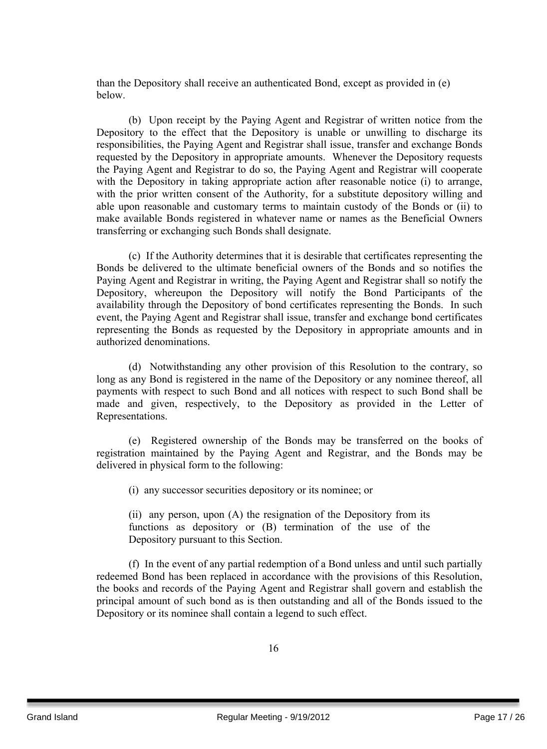than the Depository shall receive an authenticated Bond, except as provided in (e) below.

(b) Upon receipt by the Paying Agent and Registrar of written notice from the Depository to the effect that the Depository is unable or unwilling to discharge its responsibilities, the Paying Agent and Registrar shall issue, transfer and exchange Bonds requested by the Depository in appropriate amounts. Whenever the Depository requests the Paying Agent and Registrar to do so, the Paying Agent and Registrar will cooperate with the Depository in taking appropriate action after reasonable notice (i) to arrange, with the prior written consent of the Authority, for a substitute depository willing and able upon reasonable and customary terms to maintain custody of the Bonds or (ii) to make available Bonds registered in whatever name or names as the Beneficial Owners transferring or exchanging such Bonds shall designate.

(c) If the Authority determines that it is desirable that certificates representing the Bonds be delivered to the ultimate beneficial owners of the Bonds and so notifies the Paying Agent and Registrar in writing, the Paying Agent and Registrar shall so notify the Depository, whereupon the Depository will notify the Bond Participants of the availability through the Depository of bond certificates representing the Bonds. In such event, the Paying Agent and Registrar shall issue, transfer and exchange bond certificates representing the Bonds as requested by the Depository in appropriate amounts and in authorized denominations.

(d) Notwithstanding any other provision of this Resolution to the contrary, so long as any Bond is registered in the name of the Depository or any nominee thereof, all payments with respect to such Bond and all notices with respect to such Bond shall be made and given, respectively, to the Depository as provided in the Letter of Representations.

(e) Registered ownership of the Bonds may be transferred on the books of registration maintained by the Paying Agent and Registrar, and the Bonds may be delivered in physical form to the following:

(i) any successor securities depository or its nominee; or

(ii) any person, upon (A) the resignation of the Depository from its functions as depository or (B) termination of the use of the Depository pursuant to this Section.

(f) In the event of any partial redemption of a Bond unless and until such partially redeemed Bond has been replaced in accordance with the provisions of this Resolution, the books and records of the Paying Agent and Registrar shall govern and establish the principal amount of such bond as is then outstanding and all of the Bonds issued to the Depository or its nominee shall contain a legend to such effect.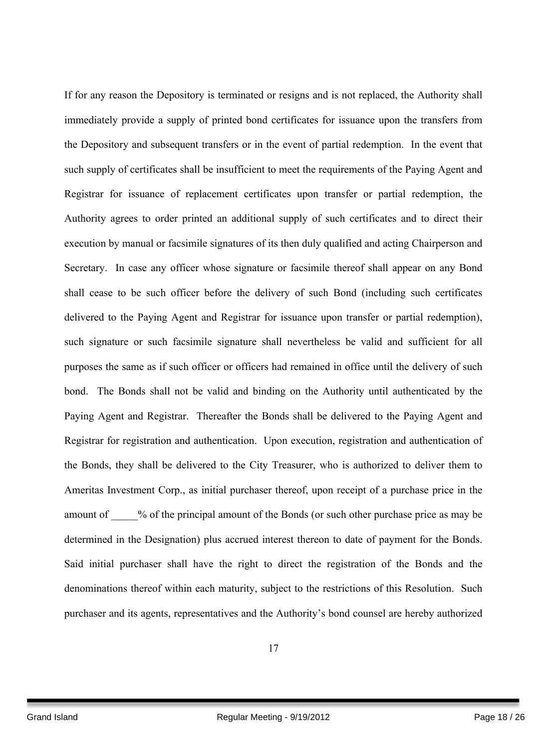If for any reason the Depository is terminated or resigns and is not replaced, the Authority shall immediately provide a supply of printed bond certificates for issuance upon the transfers from the Depository and subsequent transfers or in the event of partial redemption. In the event that such supply of certificates shall be insufficient to meet the requirements of the Paying Agent and Registrar for issuance of replacement certificates upon transfer or partial redemption, the Authority agrees to order printed an additional supply of such certificates and to direct their execution by manual or facsimile signatures of its then duly qualified and acting Chairperson and Secretary. In case any officer whose signature or facsimile thereof shall appear on any Bond shall cease to be such officer before the delivery of such Bond (including such certificates delivered to the Paying Agent and Registrar for issuance upon transfer or partial redemption), such signature or such facsimile signature shall nevertheless be valid and sufficient for all purposes the same as if such officer or officers had remained in office until the delivery of such bond. The Bonds shall not be valid and binding on the Authority until authenticated by the Paying Agent and Registrar. Thereafter the Bonds shall be delivered to the Paying Agent and Registrar for registration and authentication. Upon execution, registration and authentication of the Bonds, they shall be delivered to the City Treasurer, who is authorized to deliver them to Ameritas Investment Corp., as initial purchaser thereof, upon receipt of a purchase price in the amount of  $\%$  of the principal amount of the Bonds (or such other purchase price as may be determined in the Designation) plus accrued interest thereon to date of payment for the Bonds. Said initial purchaser shall have the right to direct the registration of the Bonds and the denominations thereof within each maturity, subject to the restrictions of this Resolution. Such purchaser and its agents, representatives and the Authority's bond counsel are hereby authorized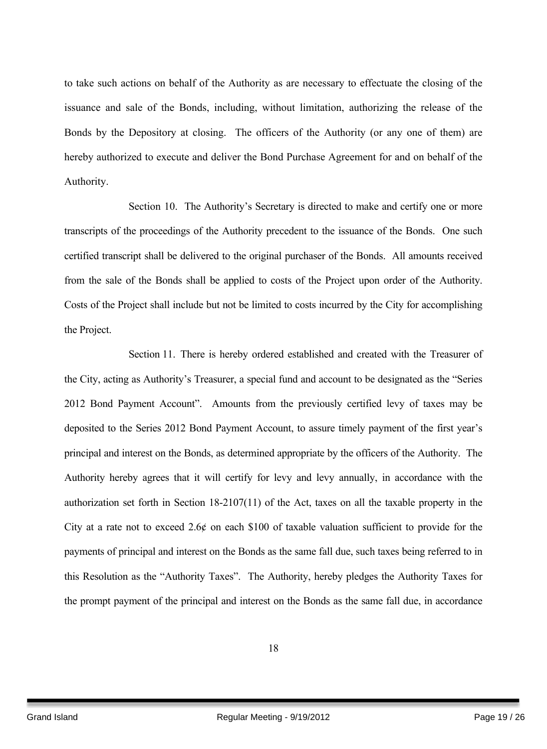to take such actions on behalf of the Authority as are necessary to effectuate the closing of the issuance and sale of the Bonds, including, without limitation, authorizing the release of the Bonds by the Depository at closing. The officers of the Authority (or any one of them) are hereby authorized to execute and deliver the Bond Purchase Agreement for and on behalf of the Authority.

Section 10. The Authority's Secretary is directed to make and certify one or more transcripts of the proceedings of the Authority precedent to the issuance of the Bonds. One such certified transcript shall be delivered to the original purchaser of the Bonds. All amounts received from the sale of the Bonds shall be applied to costs of the Project upon order of the Authority. Costs of the Project shall include but not be limited to costs incurred by the City for accomplishing the Project.

Section 11. There is hereby ordered established and created with the Treasurer of the City, acting as Authority's Treasurer, a special fund and account to be designated as the "Series 2012 Bond Payment Account". Amounts from the previously certified levy of taxes may be deposited to the Series 2012 Bond Payment Account, to assure timely payment of the first year's principal and interest on the Bonds, as determined appropriate by the officers of the Authority. The Authority hereby agrees that it will certify for levy and levy annually, in accordance with the authorization set forth in Section 18-2107(11) of the Act, taxes on all the taxable property in the City at a rate not to exceed 2.6 $\phi$  on each \$100 of taxable valuation sufficient to provide for the payments of principal and interest on the Bonds as the same fall due, such taxes being referred to in this Resolution as the "Authority Taxes". The Authority, hereby pledges the Authority Taxes for the prompt payment of the principal and interest on the Bonds as the same fall due, in accordance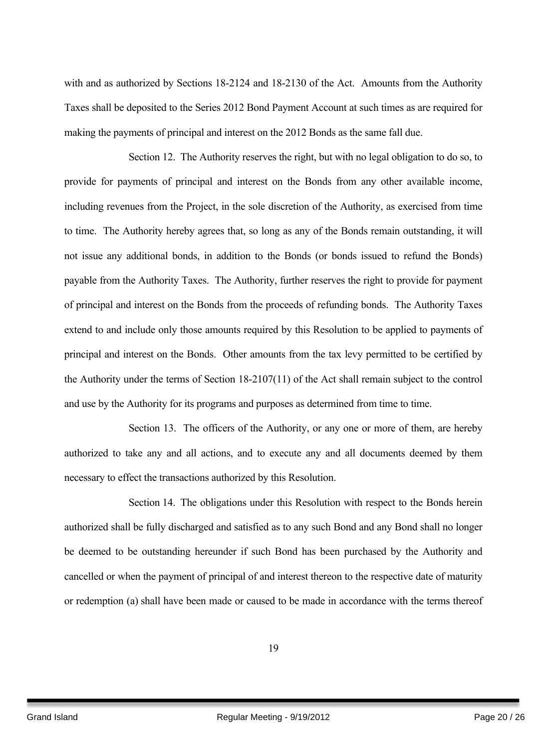with and as authorized by Sections 18-2124 and 18-2130 of the Act. Amounts from the Authority Taxes shall be deposited to the Series 2012 Bond Payment Account at such times as are required for making the payments of principal and interest on the 2012 Bonds as the same fall due.

Section 12. The Authority reserves the right, but with no legal obligation to do so, to provide for payments of principal and interest on the Bonds from any other available income, including revenues from the Project, in the sole discretion of the Authority, as exercised from time to time. The Authority hereby agrees that, so long as any of the Bonds remain outstanding, it will not issue any additional bonds, in addition to the Bonds (or bonds issued to refund the Bonds) payable from the Authority Taxes. The Authority, further reserves the right to provide for payment of principal and interest on the Bonds from the proceeds of refunding bonds. The Authority Taxes extend to and include only those amounts required by this Resolution to be applied to payments of principal and interest on the Bonds. Other amounts from the tax levy permitted to be certified by the Authority under the terms of Section 18-2107(11) of the Act shall remain subject to the control and use by the Authority for its programs and purposes as determined from time to time.

Section 13. The officers of the Authority, or any one or more of them, are hereby authorized to take any and all actions, and to execute any and all documents deemed by them necessary to effect the transactions authorized by this Resolution.

Section 14. The obligations under this Resolution with respect to the Bonds herein authorized shall be fully discharged and satisfied as to any such Bond and any Bond shall no longer be deemed to be outstanding hereunder if such Bond has been purchased by the Authority and cancelled or when the payment of principal of and interest thereon to the respective date of maturity or redemption (a) shall have been made or caused to be made in accordance with the terms thereof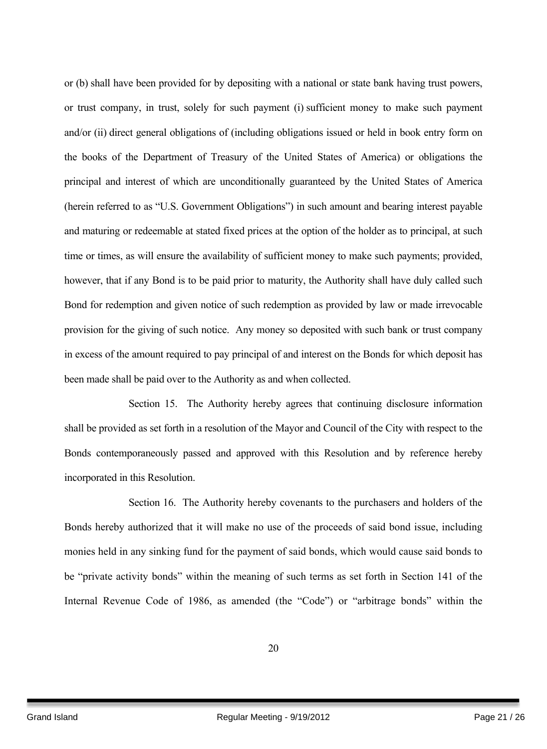or (b) shall have been provided for by depositing with a national or state bank having trust powers, or trust company, in trust, solely for such payment (i) sufficient money to make such payment and/or (ii) direct general obligations of (including obligations issued or held in book entry form on the books of the Department of Treasury of the United States of America) or obligations the principal and interest of which are unconditionally guaranteed by the United States of America (herein referred to as "U.S. Government Obligations") in such amount and bearing interest payable and maturing or redeemable at stated fixed prices at the option of the holder as to principal, at such time or times, as will ensure the availability of sufficient money to make such payments; provided, however, that if any Bond is to be paid prior to maturity, the Authority shall have duly called such Bond for redemption and given notice of such redemption as provided by law or made irrevocable provision for the giving of such notice. Any money so deposited with such bank or trust company in excess of the amount required to pay principal of and interest on the Bonds for which deposit has been made shall be paid over to the Authority as and when collected.

Section 15. The Authority hereby agrees that continuing disclosure information shall be provided as set forth in a resolution of the Mayor and Council of the City with respect to the Bonds contemporaneously passed and approved with this Resolution and by reference hereby incorporated in this Resolution.

Section 16. The Authority hereby covenants to the purchasers and holders of the Bonds hereby authorized that it will make no use of the proceeds of said bond issue, including monies held in any sinking fund for the payment of said bonds, which would cause said bonds to be "private activity bonds" within the meaning of such terms as set forth in Section 141 of the Internal Revenue Code of 1986, as amended (the "Code") or "arbitrage bonds" within the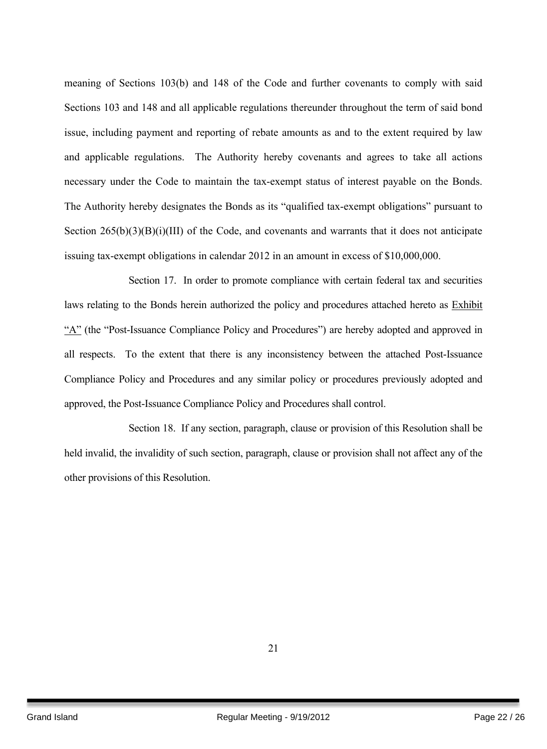meaning of Sections 103(b) and 148 of the Code and further covenants to comply with said Sections 103 and 148 and all applicable regulations thereunder throughout the term of said bond issue, including payment and reporting of rebate amounts as and to the extent required by law and applicable regulations. The Authority hereby covenants and agrees to take all actions necessary under the Code to maintain the tax-exempt status of interest payable on the Bonds. The Authority hereby designates the Bonds as its "qualified tax-exempt obligations" pursuant to Section  $265(b)(3)(B)(i)(III)$  of the Code, and covenants and warrants that it does not anticipate issuing tax-exempt obligations in calendar 2012 in an amount in excess of \$10,000,000.

Section 17. In order to promote compliance with certain federal tax and securities laws relating to the Bonds herein authorized the policy and procedures attached hereto as Exhibit "A" (the "Post-Issuance Compliance Policy and Procedures") are hereby adopted and approved in all respects. To the extent that there is any inconsistency between the attached Post-Issuance Compliance Policy and Procedures and any similar policy or procedures previously adopted and approved, the Post-Issuance Compliance Policy and Procedures shall control.

Section 18. If any section, paragraph, clause or provision of this Resolution shall be held invalid, the invalidity of such section, paragraph, clause or provision shall not affect any of the other provisions of this Resolution.

21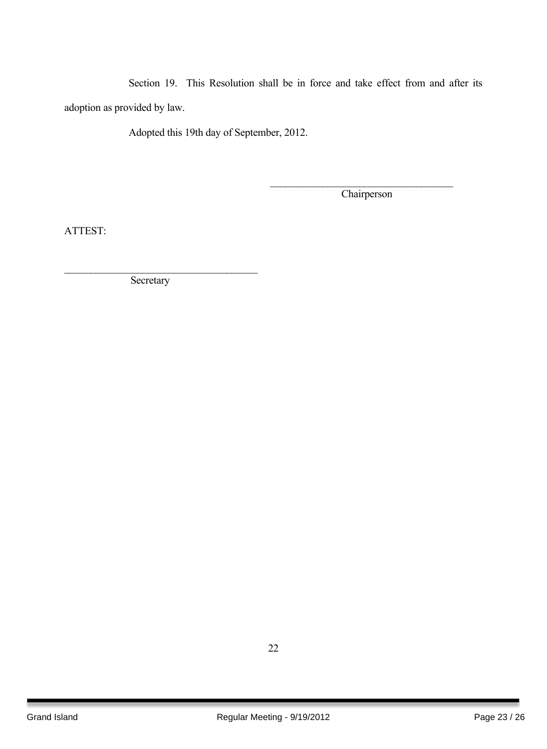Section 19. This Resolution shall be in force and take effect from and after its adoption as provided by law.

Adopted this 19th day of September, 2012.

**Chairperson** 

 $\mathcal{L}_\text{max}$ 

ATTEST:

**Secretary** 

 $\mathcal{L}_\text{max}$  , where  $\mathcal{L}_\text{max}$  and  $\mathcal{L}_\text{max}$  and  $\mathcal{L}_\text{max}$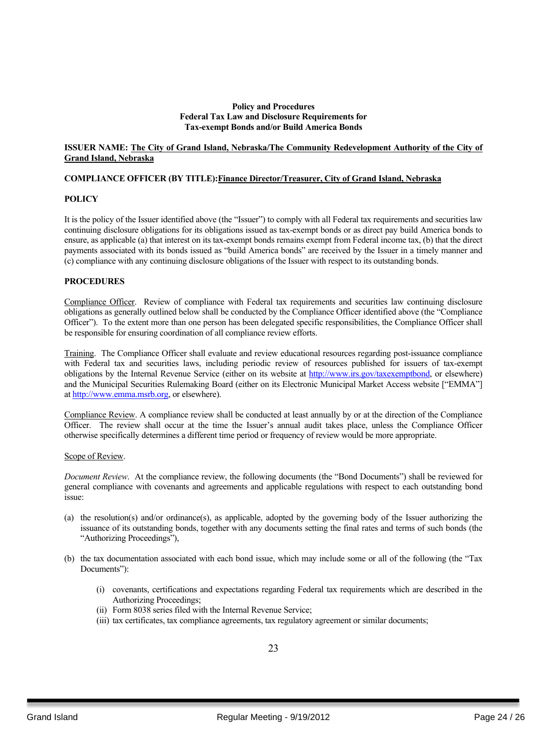#### **Policy and Procedures Federal Tax Law and Disclosure Requirements for Tax-exempt Bonds and/or Build America Bonds**

#### **ISSUER NAME: The City of Grand Island, Nebraska/The Community Redevelopment Authority of the City of Grand Island, Nebraska**

#### **COMPLIANCE OFFICER (BY TITLE):Finance Director/Treasurer, City of Grand Island, Nebraska**

#### **POLICY**

It is the policy of the Issuer identified above (the "Issuer") to comply with all Federal tax requirements and securities law continuing disclosure obligations for its obligations issued as tax-exempt bonds or as direct pay build America bonds to ensure, as applicable (a) that interest on its tax-exempt bonds remains exempt from Federal income tax, (b) that the direct payments associated with its bonds issued as "build America bonds" are received by the Issuer in a timely manner and (c) compliance with any continuing disclosure obligations of the Issuer with respect to its outstanding bonds.

#### **PROCEDURES**

Compliance Officer. Review of compliance with Federal tax requirements and securities law continuing disclosure obligations as generally outlined below shall be conducted by the Compliance Officer identified above (the "Compliance Officer"). To the extent more than one person has been delegated specific responsibilities, the Compliance Officer shall be responsible for ensuring coordination of all compliance review efforts.

Training. The Compliance Officer shall evaluate and review educational resources regarding post-issuance compliance with Federal tax and securities laws, including periodic review of resources published for issuers of tax-exempt obligations by the Internal Revenue Service (either on its website at http://www.irs.gov/taxexemptbond, or elsewhere) and the Municipal Securities Rulemaking Board (either on its Electronic Municipal Market Access website ["EMMA"] at http://www.emma.msrb.org, or elsewhere).

Compliance Review. A compliance review shall be conducted at least annually by or at the direction of the Compliance Officer. The review shall occur at the time the Issuer's annual audit takes place, unless the Compliance Officer otherwise specifically determines a different time period or frequency of review would be more appropriate.

#### Scope of Review.

*Document Review*. At the compliance review, the following documents (the "Bond Documents") shall be reviewed for general compliance with covenants and agreements and applicable regulations with respect to each outstanding bond issue:

- (a) the resolution(s) and/or ordinance(s), as applicable, adopted by the governing body of the Issuer authorizing the issuance of its outstanding bonds, together with any documents setting the final rates and terms of such bonds (the "Authorizing Proceedings"),
- (b) the tax documentation associated with each bond issue, which may include some or all of the following (the "Tax Documents"):
	- (i) covenants, certifications and expectations regarding Federal tax requirements which are described in the Authorizing Proceedings;
	- (ii) Form 8038 series filed with the Internal Revenue Service;
	- (iii) tax certificates, tax compliance agreements, tax regulatory agreement or similar documents;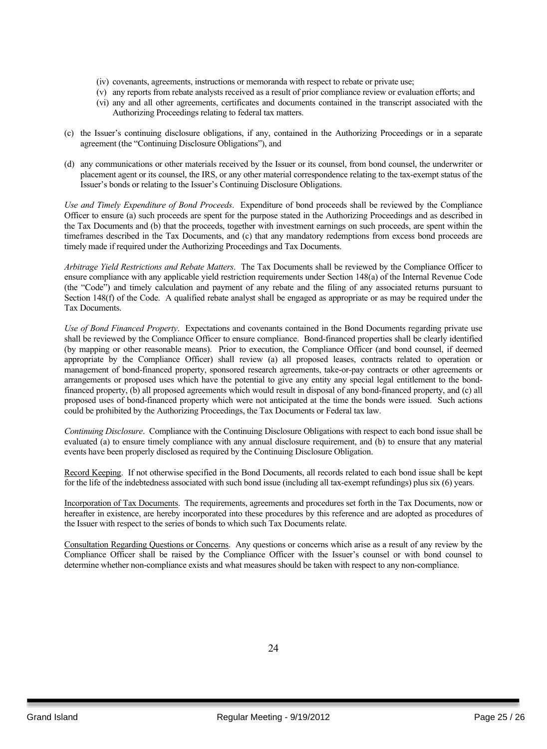- (iv) covenants, agreements, instructions or memoranda with respect to rebate or private use;
- (v) any reports from rebate analysts received as a result of prior compliance review or evaluation efforts; and
- (vi) any and all other agreements, certificates and documents contained in the transcript associated with the Authorizing Proceedings relating to federal tax matters.
- (c) the Issuer's continuing disclosure obligations, if any, contained in the Authorizing Proceedings or in a separate agreement (the "Continuing Disclosure Obligations"), and
- (d) any communications or other materials received by the Issuer or its counsel, from bond counsel, the underwriter or placement agent or its counsel, the IRS, or any other material correspondence relating to the tax-exempt status of the Issuer's bonds or relating to the Issuer's Continuing Disclosure Obligations.

*Use and Timely Expenditure of Bond Proceeds*. Expenditure of bond proceeds shall be reviewed by the Compliance Officer to ensure (a) such proceeds are spent for the purpose stated in the Authorizing Proceedings and as described in the Tax Documents and (b) that the proceeds, together with investment earnings on such proceeds, are spent within the timeframes described in the Tax Documents, and (c) that any mandatory redemptions from excess bond proceeds are timely made if required under the Authorizing Proceedings and Tax Documents.

*Arbitrage Yield Restrictions and Rebate Matters*. The Tax Documents shall be reviewed by the Compliance Officer to ensure compliance with any applicable yield restriction requirements under Section 148(a) of the Internal Revenue Code (the "Code") and timely calculation and payment of any rebate and the filing of any associated returns pursuant to Section 148(f) of the Code. A qualified rebate analyst shall be engaged as appropriate or as may be required under the Tax Documents.

*Use of Bond Financed Property*. Expectations and covenants contained in the Bond Documents regarding private use shall be reviewed by the Compliance Officer to ensure compliance. Bond-financed properties shall be clearly identified (by mapping or other reasonable means). Prior to execution, the Compliance Officer (and bond counsel, if deemed appropriate by the Compliance Officer) shall review (a) all proposed leases, contracts related to operation or management of bond-financed property, sponsored research agreements, take-or-pay contracts or other agreements or arrangements or proposed uses which have the potential to give any entity any special legal entitlement to the bondfinanced property, (b) all proposed agreements which would result in disposal of any bond-financed property, and (c) all proposed uses of bond-financed property which were not anticipated at the time the bonds were issued. Such actions could be prohibited by the Authorizing Proceedings, the Tax Documents or Federal tax law.

*Continuing Disclosure*. Compliance with the Continuing Disclosure Obligations with respect to each bond issue shall be evaluated (a) to ensure timely compliance with any annual disclosure requirement, and (b) to ensure that any material events have been properly disclosed as required by the Continuing Disclosure Obligation.

Record Keeping. If not otherwise specified in the Bond Documents, all records related to each bond issue shall be kept for the life of the indebtedness associated with such bond issue (including all tax-exempt refundings) plus six (6) years.

Incorporation of Tax Documents. The requirements, agreements and procedures set forth in the Tax Documents, now or hereafter in existence, are hereby incorporated into these procedures by this reference and are adopted as procedures of the Issuer with respect to the series of bonds to which such Tax Documents relate.

Consultation Regarding Questions or Concerns. Any questions or concerns which arise as a result of any review by the Compliance Officer shall be raised by the Compliance Officer with the Issuer's counsel or with bond counsel to determine whether non-compliance exists and what measures should be taken with respect to any non-compliance.